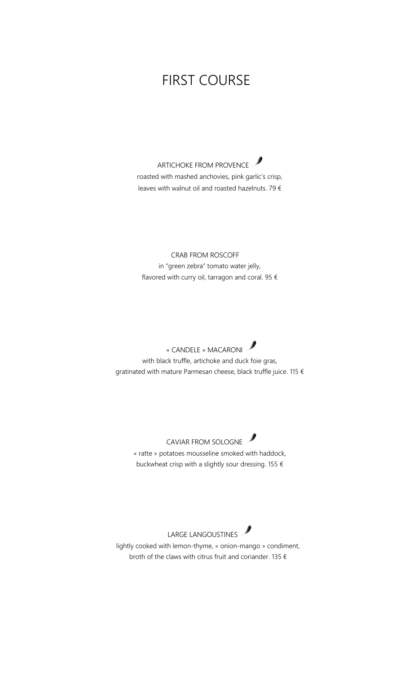## FIRST COURSE

ARTICHOKE FROM PROVENCE roasted with mashed anchovies, pink garlic's crisp, leaves with walnut oil and roasted hazelnuts. 79 €

 CRAB FROM ROSCOFF in "green zebra" tomato water jelly, flavored with curry oil, tarragon and coral. 95  $\epsilon$ 

 « CANDELE » MACARONI with black truffle, artichoke and duck foie gras, gratinated with mature Parmesan cheese, black truffle juice. 115 €

CAVIAR FROM SOLOGNE « ratte » potatoes mousseline smoked with haddock, buckwheat crisp with a slightly sour dressing. 155  $\epsilon$ 

LARGE LANGOUSTINES lightly cooked with lemon-thyme, « onion-mango » condiment, broth of the claws with citrus fruit and coriander. 135  $\epsilon$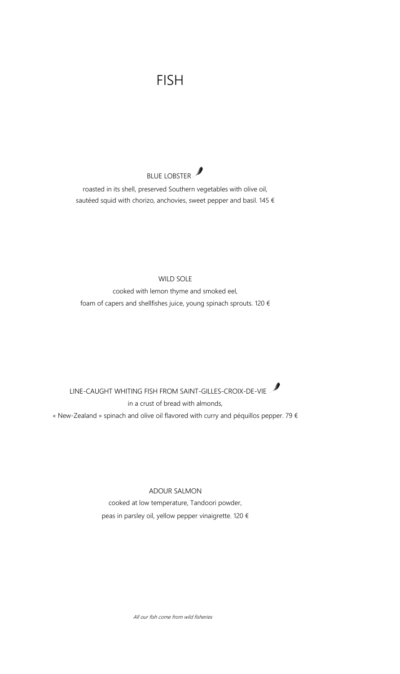# FISH



roasted in its shell, preserved Southern vegetables with olive oil, sautéed squid with chorizo, anchovies, sweet pepper and basil. 145  $\epsilon$ 

#### WILD SOLE

cooked with lemon thyme and smoked eel, foam of capers and shellfishes juice, young spinach sprouts. 120  $\epsilon$ 

LINE-CAUGHT WHITING FISH FROM SAINT-GILLES-CROIX-DE-VIE in a crust of bread with almonds, « New-Zealand » spinach and olive oil flavored with curry and péquillos pepper. 79  $\epsilon$ 

ADOUR SALMON

cooked at low temperature, Tandoori powder, peas in parsley oil, yellow pepper vinaigrette. 120 €

All our fish come from wild fisheries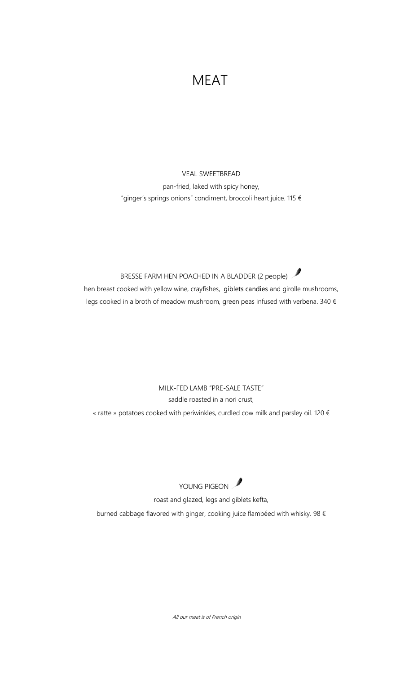### MEAT

### VEAL SWEETBREAD pan-fried, laked with spicy honey, "ginger's springs onions" condiment, broccoli heart juice. 115 €

### BRESSE FARM HEN POACHED IN A BLADDER (2 people) hen breast cooked with yellow wine, crayfishes, giblets candies and girolle mushrooms, legs cooked in a broth of meadow mushroom, green peas infused with verbena. 340 €

### MILK-FED LAMB "PRE-SALE TASTE" saddle roasted in a nori crust, « ratte » potatoes cooked with periwinkles, curdled cow milk and parsley oil. 120  $\epsilon$



roast and glazed, legs and giblets kefta,

burned cabbage flavored with ginger, cooking juice flambéed with whisky. 98 €

All our meat is of French origin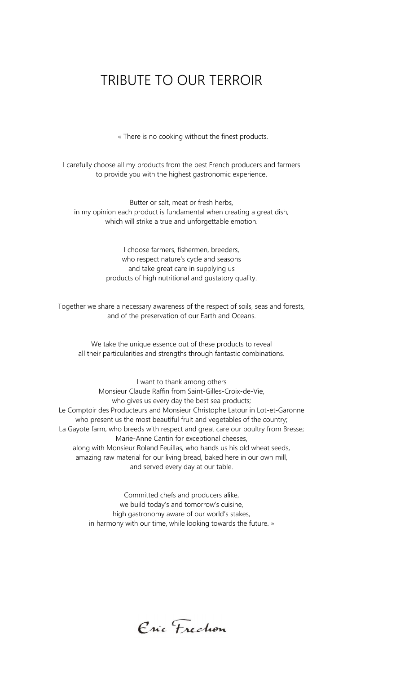## TRIBUTE TO OUR TERROIR

« There is no cooking without the finest products.

I carefully choose all my products from the best French producers and farmers to provide you with the highest gastronomic experience.

Butter or salt, meat or fresh herbs, in my opinion each product is fundamental when creating a great dish, which will strike a true and unforgettable emotion.

> I choose farmers, fishermen, breeders, who respect nature's cycle and seasons and take great care in supplying us products of high nutritional and gustatory quality.

Together we share a necessary awareness of the respect of soils, seas and forests, and of the preservation of our Earth and Oceans.

We take the unique essence out of these products to reveal all their particularities and strengths through fantastic combinations.

I want to thank among others Monsieur Claude Raffin from Saint-Gilles-Croix-de-Vie, who gives us every day the best sea products; Le Comptoir des Producteurs and Monsieur Christophe Latour in Lot-et-Garonne who present us the most beautiful fruit and vegetables of the country; La Gayote farm, who breeds with respect and great care our poultry from Bresse; Marie-Anne Cantin for exceptional cheeses, along with Monsieur Roland Feuillas, who hands us his old wheat seeds, amazing raw material for our living bread, baked here in our own mill, and served every day at our table.

> Committed chefs and producers alike, we build today's and tomorrow's cuisine, high gastronomy aware of our world's stakes, in harmony with our time, while looking towards the future. »

Eric Frechon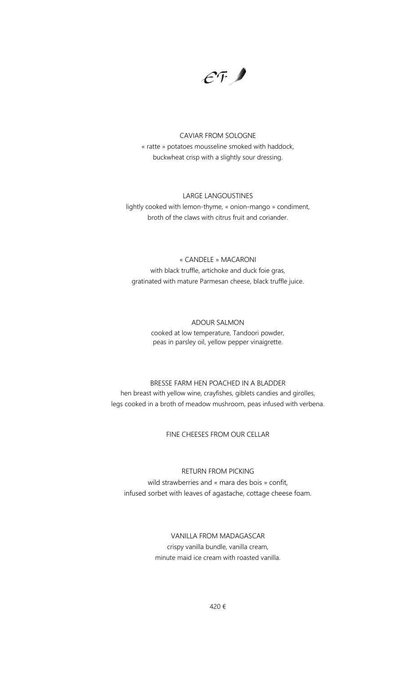$\mathcal{E}$ F

CAVIAR FROM SOLOGNE « ratte » potatoes mousseline smoked with haddock, buckwheat crisp with a slightly sour dressing.

#### LARGE LANGOUSTINES

lightly cooked with lemon-thyme, « onion-mango » condiment, broth of the claws with citrus fruit and coriander.

#### « CANDELE » MACARONI

with black truffle, artichoke and duck foie gras, gratinated with mature Parmesan cheese, black truffle juice.

#### ADOUR SALMON

cooked at low temperature, Tandoori powder, peas in parsley oil, yellow pepper vinaigrette.

BRESSE FARM HEN POACHED IN A BLADDER hen breast with yellow wine, crayfishes, giblets candies and girolles, legs cooked in a broth of meadow mushroom, peas infused with verbena.

FINE CHEESES FROM OUR CELLAR

RETURN FROM PICKING wild strawberries and « mara des bois » confit, infused sorbet with leaves of agastache, cottage cheese foam.

> VANILLA FROM MADAGASCAR crispy vanilla bundle, vanilla cream, minute maid ice cream with roasted vanilla.